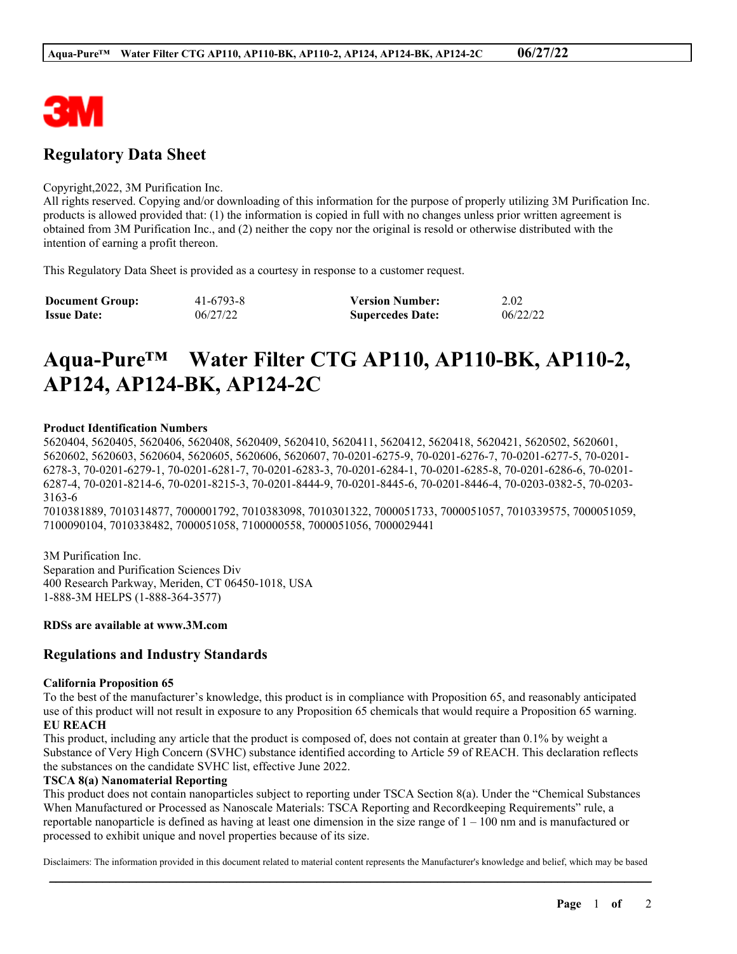

# **Regulatory Data Sheet**

## Copyright,2022, 3M Purification Inc.

All rights reserved. Copying and/or downloading of this information for the purpose of properly utilizing 3M Purification Inc. products is allowed provided that: (1) the information is copied in full with no changes unless prior written agreement is obtained from 3M Purification Inc., and (2) neither the copy nor the original is resold or otherwise distributed with the intention of earning a profit thereon.

This Regulatory Data Sheet is provided as a courtesy in response to a customer request.

| <b>Document Group:</b> | 41-6793-8 | <b>Version Number:</b>  | 2.02     |
|------------------------|-----------|-------------------------|----------|
| <b>Issue Date:</b>     | 06/27/22  | <b>Supercedes Date:</b> | 06/22/22 |

# **Aqua-Pure™ Water Filter CTG AP110, AP110-BK, AP110-2, AP124, AP124-BK, AP124-2C**

#### **Product Identification Numbers**

5620404, 5620405, 5620406, 5620408, 5620409, 5620410, 5620411, 5620412, 5620418, 5620421, 5620502, 5620601, 5620602, 5620603, 5620604, 5620605, 5620606, 5620607, 70-0201-6275-9, 70-0201-6276-7, 70-0201-6277-5, 70-0201- 6278-3, 70-0201-6279-1, 70-0201-6281-7, 70-0201-6283-3, 70-0201-6284-1, 70-0201-6285-8, 70-0201-6286-6, 70-0201- 6287-4, 70-0201-8214-6, 70-0201-8215-3, 70-0201-8444-9, 70-0201-8445-6, 70-0201-8446-4, 70-0203-0382-5, 70-0203- 3163-6

7010381889, 7010314877, 7000001792, 7010383098, 7010301322, 7000051733, 7000051057, 7010339575, 7000051059, 7100090104, 7010338482, 7000051058, 7100000558, 7000051056, 7000029441

3M Purification Inc. Separation and Purification Sciences Div 400 Research Parkway, Meriden, CT 06450-1018, USA 1-888-3M HELPS (1-888-364-3577)

#### **RDSs are available at www.3M.com**

### **Regulations and Industry Standards**

#### **California Proposition 65**

To the best of the manufacturer's knowledge, this product is in compliance with Proposition 65, and reasonably anticipated use of this product will not result in exposure to any Proposition 65 chemicals that would require a Proposition 65 warning. **EU REACH**

This product, including any article that the product is composed of, does not contain at greater than 0.1% by weight a Substance of Very High Concern (SVHC) substance identified according to Article 59 of REACH. This declaration reflects the substances on the candidate SVHC list, effective June 2022.

#### **TSCA 8(a) Nanomaterial Reporting**

This product does not contain nanoparticles subject to reporting under TSCA Section 8(a). Under the "Chemical Substances When Manufactured or Processed as Nanoscale Materials: TSCA Reporting and Recordkeeping Requirements" rule, a reportable nanoparticle is defined as having at least one dimension in the size range of  $1 - 100$  nm and is manufactured or processed to exhibit unique and novel properties because of its size.

\_\_\_\_\_\_\_\_\_\_\_\_\_\_\_\_\_\_\_\_\_\_\_\_\_\_\_\_\_\_\_\_\_\_\_\_\_\_\_\_\_\_\_\_\_\_\_\_\_\_\_\_\_\_\_\_\_\_\_\_\_\_\_\_\_\_\_\_\_\_\_\_\_\_\_\_\_\_\_\_\_\_\_\_\_\_\_\_\_\_ Disclaimers: The information provided in this document related to material content represents the Manufacturer's knowledge and belief, which may be based